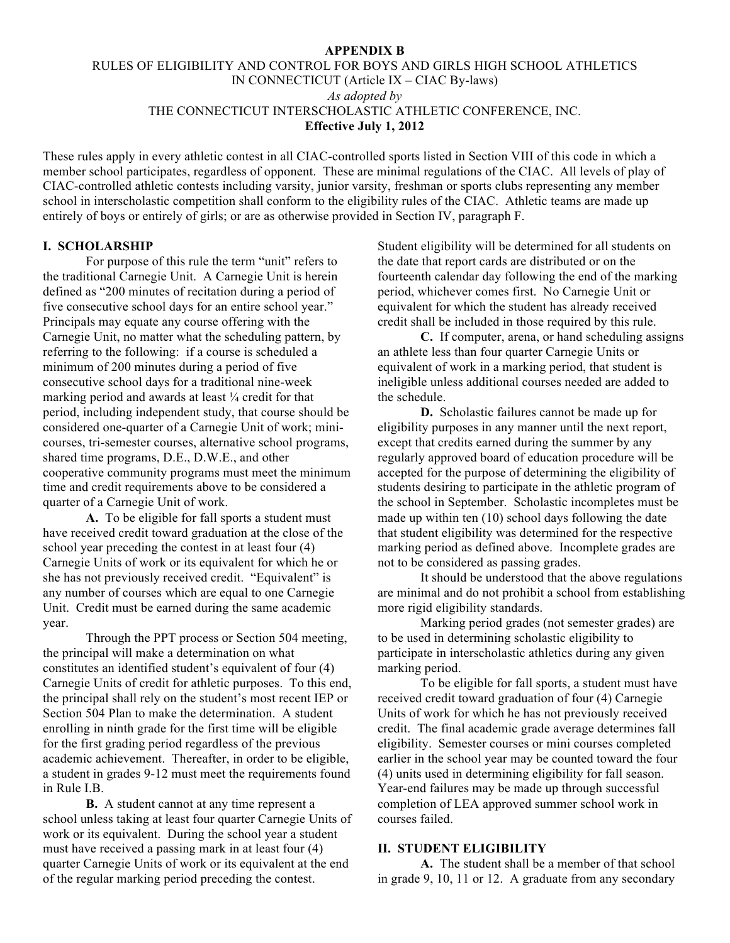#### **APPENDIX B**

# RULES OF ELIGIBILITY AND CONTROL FOR BOYS AND GIRLS HIGH SCHOOL ATHLETICS IN CONNECTICUT (Article IX – CIAC By-laws) *As adopted by* THE CONNECTICUT INTERSCHOLASTIC ATHLETIC CONFERENCE, INC. **Effective July 1, 2012**

These rules apply in every athletic contest in all CIAC-controlled sports listed in Section VIII of this code in which a member school participates, regardless of opponent. These are minimal regulations of the CIAC. All levels of play of CIAC-controlled athletic contests including varsity, junior varsity, freshman or sports clubs representing any member school in interscholastic competition shall conform to the eligibility rules of the CIAC. Athletic teams are made up entirely of boys or entirely of girls; or are as otherwise provided in Section IV, paragraph F.

### **I. SCHOLARSHIP**

For purpose of this rule the term "unit" refers to the traditional Carnegie Unit. A Carnegie Unit is herein defined as "200 minutes of recitation during a period of five consecutive school days for an entire school year." Principals may equate any course offering with the Carnegie Unit, no matter what the scheduling pattern, by referring to the following: if a course is scheduled a minimum of 200 minutes during a period of five consecutive school days for a traditional nine-week marking period and awards at least ¼ credit for that period, including independent study, that course should be considered one-quarter of a Carnegie Unit of work; minicourses, tri-semester courses, alternative school programs, shared time programs, D.E., D.W.E., and other cooperative community programs must meet the minimum time and credit requirements above to be considered a quarter of a Carnegie Unit of work.

**A.** To be eligible for fall sports a student must have received credit toward graduation at the close of the school year preceding the contest in at least four (4) Carnegie Units of work or its equivalent for which he or she has not previously received credit. "Equivalent" is any number of courses which are equal to one Carnegie Unit. Credit must be earned during the same academic year.

Through the PPT process or Section 504 meeting, the principal will make a determination on what constitutes an identified student's equivalent of four (4) Carnegie Units of credit for athletic purposes. To this end, the principal shall rely on the student's most recent IEP or Section 504 Plan to make the determination. A student enrolling in ninth grade for the first time will be eligible for the first grading period regardless of the previous academic achievement. Thereafter, in order to be eligible, a student in grades 9-12 must meet the requirements found in Rule I.B.

**B.** A student cannot at any time represent a school unless taking at least four quarter Carnegie Units of work or its equivalent. During the school year a student must have received a passing mark in at least four (4) quarter Carnegie Units of work or its equivalent at the end of the regular marking period preceding the contest.

Student eligibility will be determined for all students on the date that report cards are distributed or on the fourteenth calendar day following the end of the marking period, whichever comes first. No Carnegie Unit or equivalent for which the student has already received credit shall be included in those required by this rule.

**C.** If computer, arena, or hand scheduling assigns an athlete less than four quarter Carnegie Units or equivalent of work in a marking period, that student is ineligible unless additional courses needed are added to the schedule.

**D.** Scholastic failures cannot be made up for eligibility purposes in any manner until the next report, except that credits earned during the summer by any regularly approved board of education procedure will be accepted for the purpose of determining the eligibility of students desiring to participate in the athletic program of the school in September. Scholastic incompletes must be made up within ten (10) school days following the date that student eligibility was determined for the respective marking period as defined above. Incomplete grades are not to be considered as passing grades.

It should be understood that the above regulations are minimal and do not prohibit a school from establishing more rigid eligibility standards.

Marking period grades (not semester grades) are to be used in determining scholastic eligibility to participate in interscholastic athletics during any given marking period.

To be eligible for fall sports, a student must have received credit toward graduation of four (4) Carnegie Units of work for which he has not previously received credit. The final academic grade average determines fall eligibility. Semester courses or mini courses completed earlier in the school year may be counted toward the four (4) units used in determining eligibility for fall season. Year-end failures may be made up through successful completion of LEA approved summer school work in courses failed.

#### **II. STUDENT ELIGIBILITY**

**A.** The student shall be a member of that school in grade 9, 10, 11 or 12. A graduate from any secondary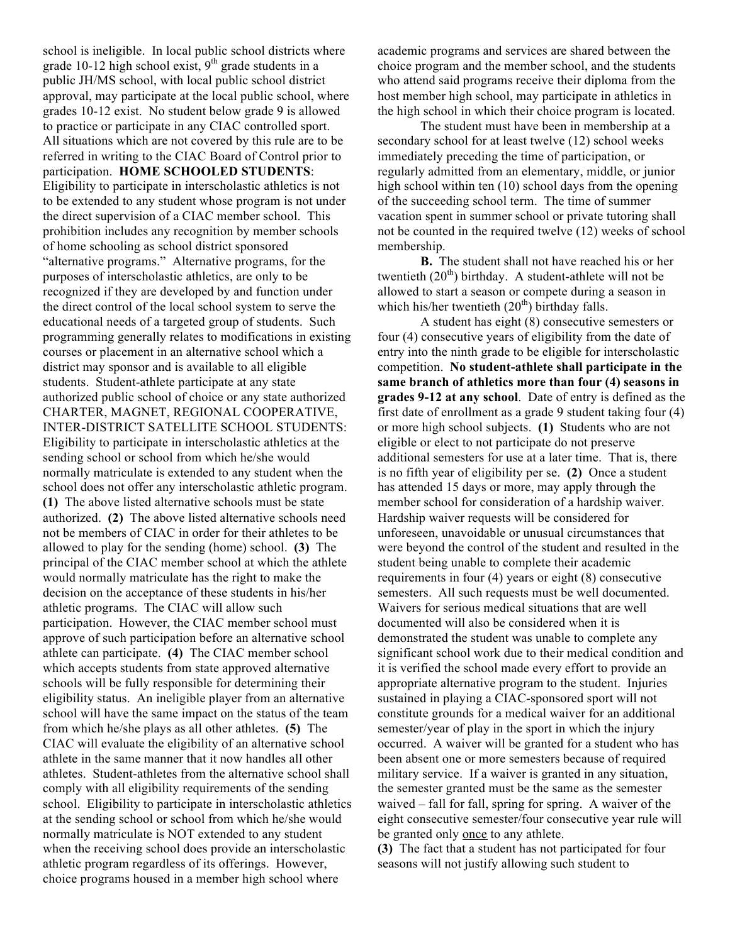school is ineligible. In local public school districts where grade 10-12 high school exist,  $9<sup>th</sup>$  grade students in a public JH/MS school, with local public school district approval, may participate at the local public school, where grades 10-12 exist. No student below grade 9 is allowed to practice or participate in any CIAC controlled sport. All situations which are not covered by this rule are to be referred in writing to the CIAC Board of Control prior to participation. **HOME SCHOOLED STUDENTS**: Eligibility to participate in interscholastic athletics is not to be extended to any student whose program is not under the direct supervision of a CIAC member school. This prohibition includes any recognition by member schools of home schooling as school district sponsored "alternative programs." Alternative programs, for the purposes of interscholastic athletics, are only to be recognized if they are developed by and function under the direct control of the local school system to serve the educational needs of a targeted group of students. Such programming generally relates to modifications in existing courses or placement in an alternative school which a district may sponsor and is available to all eligible students. Student-athlete participate at any state authorized public school of choice or any state authorized CHARTER, MAGNET, REGIONAL COOPERATIVE, INTER-DISTRICT SATELLITE SCHOOL STUDENTS: Eligibility to participate in interscholastic athletics at the sending school or school from which he/she would normally matriculate is extended to any student when the school does not offer any interscholastic athletic program. **(1)** The above listed alternative schools must be state authorized. **(2)** The above listed alternative schools need not be members of CIAC in order for their athletes to be allowed to play for the sending (home) school. **(3)** The principal of the CIAC member school at which the athlete would normally matriculate has the right to make the decision on the acceptance of these students in his/her athletic programs. The CIAC will allow such participation. However, the CIAC member school must approve of such participation before an alternative school athlete can participate. **(4)** The CIAC member school which accepts students from state approved alternative schools will be fully responsible for determining their eligibility status. An ineligible player from an alternative school will have the same impact on the status of the team from which he/she plays as all other athletes. **(5)** The CIAC will evaluate the eligibility of an alternative school athlete in the same manner that it now handles all other athletes. Student-athletes from the alternative school shall comply with all eligibility requirements of the sending school. Eligibility to participate in interscholastic athletics at the sending school or school from which he/she would normally matriculate is NOT extended to any student when the receiving school does provide an interscholastic athletic program regardless of its offerings. However, choice programs housed in a member high school where

academic programs and services are shared between the choice program and the member school, and the students who attend said programs receive their diploma from the host member high school, may participate in athletics in the high school in which their choice program is located.

The student must have been in membership at a secondary school for at least twelve (12) school weeks immediately preceding the time of participation, or regularly admitted from an elementary, middle, or junior high school within ten (10) school days from the opening of the succeeding school term. The time of summer vacation spent in summer school or private tutoring shall not be counted in the required twelve (12) weeks of school membership.

**B.** The student shall not have reached his or her twentieth  $(20<sup>th</sup>)$  birthday. A student-athlete will not be allowed to start a season or compete during a season in which his/her twentieth  $(20<sup>th</sup>)$  birthday falls.

A student has eight (8) consecutive semesters or four (4) consecutive years of eligibility from the date of entry into the ninth grade to be eligible for interscholastic competition. **No student-athlete shall participate in the same branch of athletics more than four (4) seasons in grades 9-12 at any school**. Date of entry is defined as the first date of enrollment as a grade 9 student taking four (4) or more high school subjects. **(1)** Students who are not eligible or elect to not participate do not preserve additional semesters for use at a later time. That is, there is no fifth year of eligibility per se. **(2)** Once a student has attended 15 days or more, may apply through the member school for consideration of a hardship waiver. Hardship waiver requests will be considered for unforeseen, unavoidable or unusual circumstances that were beyond the control of the student and resulted in the student being unable to complete their academic requirements in four (4) years or eight (8) consecutive semesters. All such requests must be well documented. Waivers for serious medical situations that are well documented will also be considered when it is demonstrated the student was unable to complete any significant school work due to their medical condition and it is verified the school made every effort to provide an appropriate alternative program to the student. Injuries sustained in playing a CIAC-sponsored sport will not constitute grounds for a medical waiver for an additional semester/year of play in the sport in which the injury occurred. A waiver will be granted for a student who has been absent one or more semesters because of required military service. If a waiver is granted in any situation, the semester granted must be the same as the semester waived – fall for fall, spring for spring. A waiver of the eight consecutive semester/four consecutive year rule will be granted only once to any athlete.

**(3)** The fact that a student has not participated for four seasons will not justify allowing such student to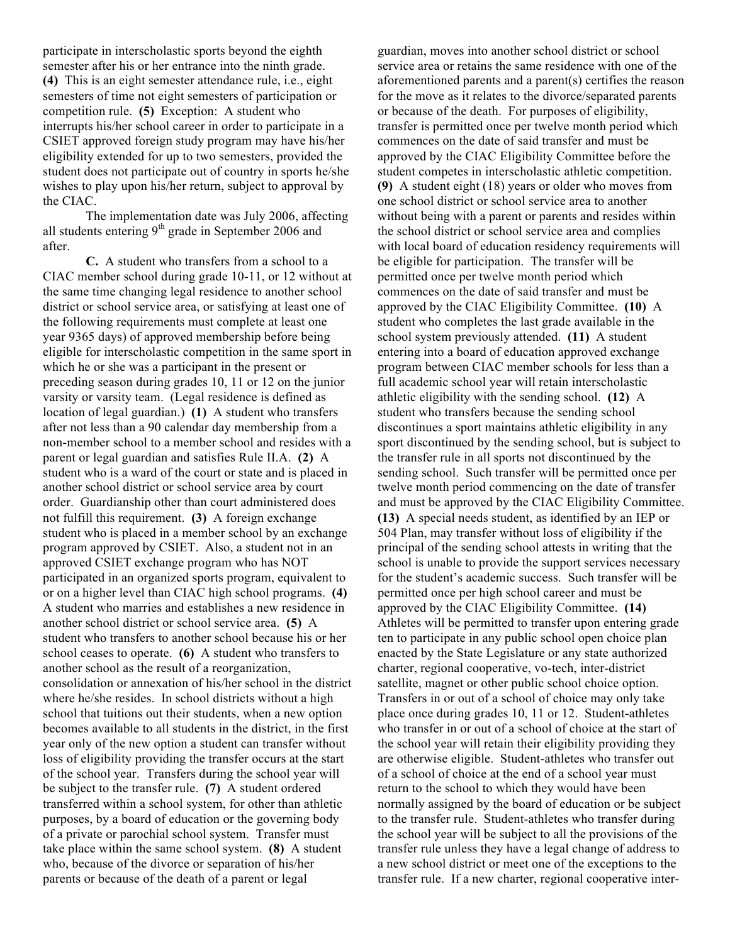participate in interscholastic sports beyond the eighth semester after his or her entrance into the ninth grade. **(4)** This is an eight semester attendance rule, i.e., eight semesters of time not eight semesters of participation or competition rule. **(5)** Exception: A student who interrupts his/her school career in order to participate in a CSIET approved foreign study program may have his/her eligibility extended for up to two semesters, provided the student does not participate out of country in sports he/she wishes to play upon his/her return, subject to approval by the CIAC.

The implementation date was July 2006, affecting all students entering  $9<sup>th</sup>$  grade in September 2006 and after.

**C.** A student who transfers from a school to a CIAC member school during grade 10-11, or 12 without at the same time changing legal residence to another school district or school service area, or satisfying at least one of the following requirements must complete at least one year 9365 days) of approved membership before being eligible for interscholastic competition in the same sport in which he or she was a participant in the present or preceding season during grades 10, 11 or 12 on the junior varsity or varsity team. (Legal residence is defined as location of legal guardian.) **(1)** A student who transfers after not less than a 90 calendar day membership from a non-member school to a member school and resides with a parent or legal guardian and satisfies Rule II.A. **(2)** A student who is a ward of the court or state and is placed in another school district or school service area by court order. Guardianship other than court administered does not fulfill this requirement. **(3)** A foreign exchange student who is placed in a member school by an exchange program approved by CSIET. Also, a student not in an approved CSIET exchange program who has NOT participated in an organized sports program, equivalent to or on a higher level than CIAC high school programs. **(4)** A student who marries and establishes a new residence in another school district or school service area. **(5)** A student who transfers to another school because his or her school ceases to operate. **(6)** A student who transfers to another school as the result of a reorganization, consolidation or annexation of his/her school in the district where he/she resides. In school districts without a high school that tuitions out their students, when a new option becomes available to all students in the district, in the first year only of the new option a student can transfer without loss of eligibility providing the transfer occurs at the start of the school year. Transfers during the school year will be subject to the transfer rule. **(7)** A student ordered transferred within a school system, for other than athletic purposes, by a board of education or the governing body of a private or parochial school system. Transfer must take place within the same school system. **(8)** A student who, because of the divorce or separation of his/her parents or because of the death of a parent or legal

guardian, moves into another school district or school service area or retains the same residence with one of the aforementioned parents and a parent(s) certifies the reason for the move as it relates to the divorce/separated parents or because of the death. For purposes of eligibility, transfer is permitted once per twelve month period which commences on the date of said transfer and must be approved by the CIAC Eligibility Committee before the student competes in interscholastic athletic competition. **(9)** A student eight (18) years or older who moves from one school district or school service area to another without being with a parent or parents and resides within the school district or school service area and complies with local board of education residency requirements will be eligible for participation. The transfer will be permitted once per twelve month period which commences on the date of said transfer and must be approved by the CIAC Eligibility Committee. **(10)** A student who completes the last grade available in the school system previously attended. **(11)** A student entering into a board of education approved exchange program between CIAC member schools for less than a full academic school year will retain interscholastic athletic eligibility with the sending school. **(12)** A student who transfers because the sending school discontinues a sport maintains athletic eligibility in any sport discontinued by the sending school, but is subject to the transfer rule in all sports not discontinued by the sending school. Such transfer will be permitted once per twelve month period commencing on the date of transfer and must be approved by the CIAC Eligibility Committee. **(13)** A special needs student, as identified by an IEP or 504 Plan, may transfer without loss of eligibility if the principal of the sending school attests in writing that the school is unable to provide the support services necessary for the student's academic success. Such transfer will be permitted once per high school career and must be approved by the CIAC Eligibility Committee. **(14)** Athletes will be permitted to transfer upon entering grade ten to participate in any public school open choice plan enacted by the State Legislature or any state authorized charter, regional cooperative, vo-tech, inter-district satellite, magnet or other public school choice option. Transfers in or out of a school of choice may only take place once during grades 10, 11 or 12. Student-athletes who transfer in or out of a school of choice at the start of the school year will retain their eligibility providing they are otherwise eligible. Student-athletes who transfer out of a school of choice at the end of a school year must return to the school to which they would have been normally assigned by the board of education or be subject to the transfer rule. Student-athletes who transfer during the school year will be subject to all the provisions of the transfer rule unless they have a legal change of address to a new school district or meet one of the exceptions to the transfer rule. If a new charter, regional cooperative inter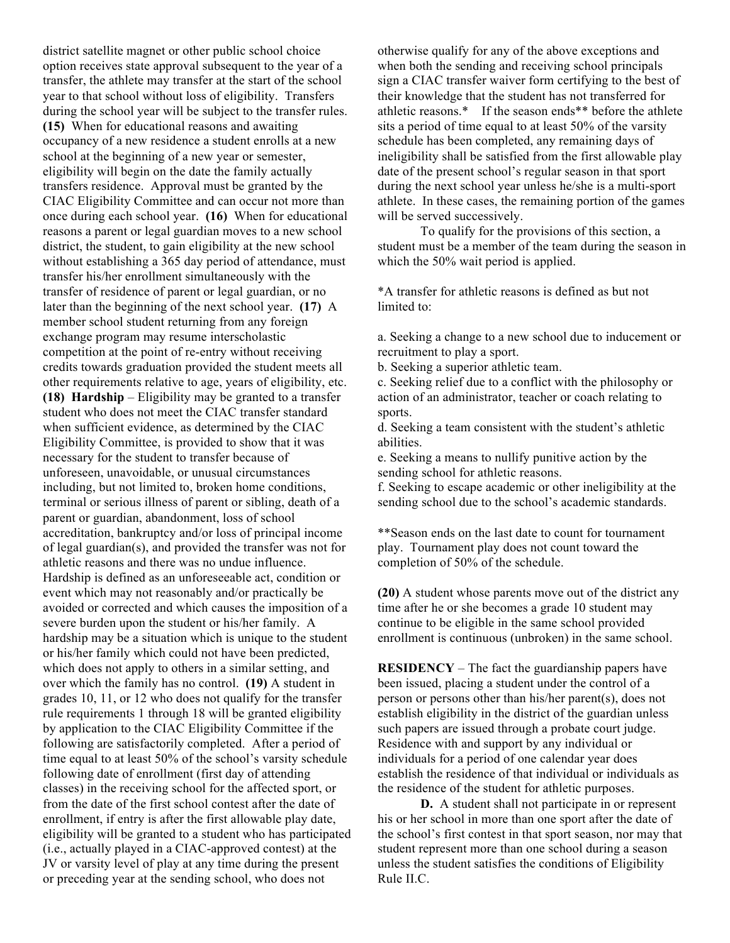district satellite magnet or other public school choice option receives state approval subsequent to the year of a transfer, the athlete may transfer at the start of the school year to that school without loss of eligibility. Transfers during the school year will be subject to the transfer rules. **(15)** When for educational reasons and awaiting occupancy of a new residence a student enrolls at a new school at the beginning of a new year or semester, eligibility will begin on the date the family actually transfers residence. Approval must be granted by the CIAC Eligibility Committee and can occur not more than once during each school year. **(16)** When for educational reasons a parent or legal guardian moves to a new school district, the student, to gain eligibility at the new school without establishing a 365 day period of attendance, must transfer his/her enrollment simultaneously with the transfer of residence of parent or legal guardian, or no later than the beginning of the next school year. **(17)** A member school student returning from any foreign exchange program may resume interscholastic competition at the point of re-entry without receiving credits towards graduation provided the student meets all other requirements relative to age, years of eligibility, etc. **(18) Hardship** – Eligibility may be granted to a transfer student who does not meet the CIAC transfer standard when sufficient evidence, as determined by the CIAC Eligibility Committee, is provided to show that it was necessary for the student to transfer because of unforeseen, unavoidable, or unusual circumstances including, but not limited to, broken home conditions, terminal or serious illness of parent or sibling, death of a parent or guardian, abandonment, loss of school accreditation, bankruptcy and/or loss of principal income of legal guardian(s), and provided the transfer was not for athletic reasons and there was no undue influence. Hardship is defined as an unforeseeable act, condition or event which may not reasonably and/or practically be avoided or corrected and which causes the imposition of a severe burden upon the student or his/her family. A hardship may be a situation which is unique to the student or his/her family which could not have been predicted, which does not apply to others in a similar setting, and over which the family has no control. **(19)** A student in grades 10, 11, or 12 who does not qualify for the transfer rule requirements 1 through 18 will be granted eligibility by application to the CIAC Eligibility Committee if the following are satisfactorily completed. After a period of time equal to at least 50% of the school's varsity schedule following date of enrollment (first day of attending classes) in the receiving school for the affected sport, or from the date of the first school contest after the date of enrollment, if entry is after the first allowable play date, eligibility will be granted to a student who has participated (i.e., actually played in a CIAC-approved contest) at the JV or varsity level of play at any time during the present or preceding year at the sending school, who does not

otherwise qualify for any of the above exceptions and when both the sending and receiving school principals sign a CIAC transfer waiver form certifying to the best of their knowledge that the student has not transferred for athletic reasons.\* If the season ends\*\* before the athlete sits a period of time equal to at least 50% of the varsity schedule has been completed, any remaining days of ineligibility shall be satisfied from the first allowable play date of the present school's regular season in that sport during the next school year unless he/she is a multi-sport athlete. In these cases, the remaining portion of the games will be served successively.

To qualify for the provisions of this section, a student must be a member of the team during the season in which the 50% wait period is applied.

\*A transfer for athletic reasons is defined as but not limited to:

a. Seeking a change to a new school due to inducement or recruitment to play a sport.

b. Seeking a superior athletic team.

c. Seeking relief due to a conflict with the philosophy or action of an administrator, teacher or coach relating to sports.

d. Seeking a team consistent with the student's athletic abilities.

e. Seeking a means to nullify punitive action by the sending school for athletic reasons.

f. Seeking to escape academic or other ineligibility at the sending school due to the school's academic standards.

\*\*Season ends on the last date to count for tournament play. Tournament play does not count toward the completion of 50% of the schedule.

**(20)** A student whose parents move out of the district any time after he or she becomes a grade 10 student may continue to be eligible in the same school provided enrollment is continuous (unbroken) in the same school.

**RESIDENCY** – The fact the guardianship papers have been issued, placing a student under the control of a person or persons other than his/her parent(s), does not establish eligibility in the district of the guardian unless such papers are issued through a probate court judge. Residence with and support by any individual or individuals for a period of one calendar year does establish the residence of that individual or individuals as the residence of the student for athletic purposes.

**D.** A student shall not participate in or represent his or her school in more than one sport after the date of the school's first contest in that sport season, nor may that student represent more than one school during a season unless the student satisfies the conditions of Eligibility Rule II.C.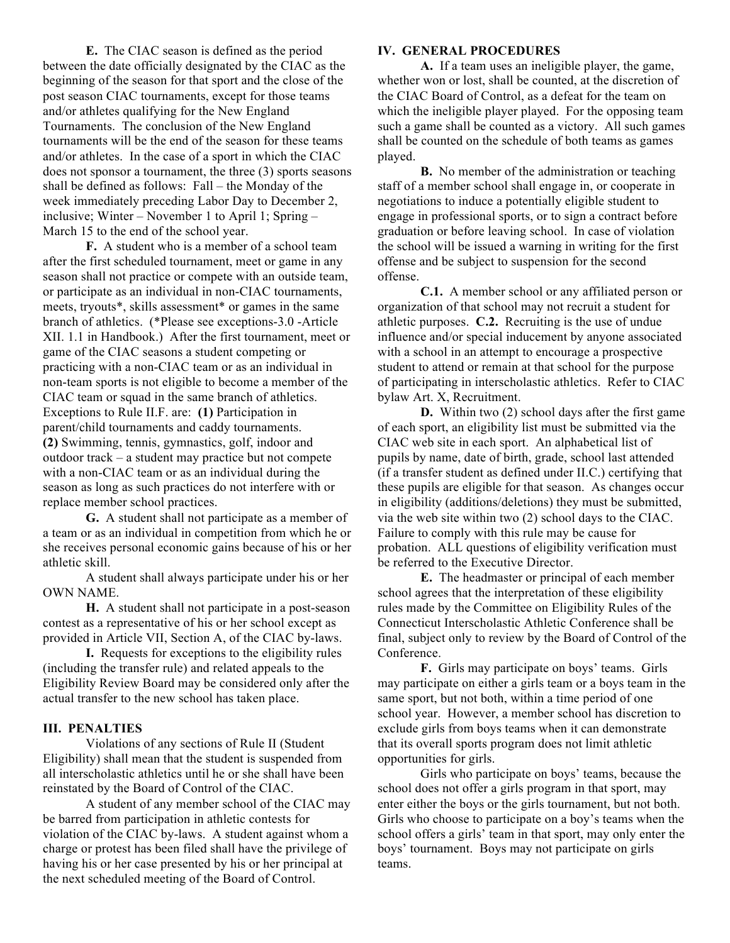**E.** The CIAC season is defined as the period between the date officially designated by the CIAC as the beginning of the season for that sport and the close of the post season CIAC tournaments, except for those teams and/or athletes qualifying for the New England Tournaments. The conclusion of the New England tournaments will be the end of the season for these teams and/or athletes. In the case of a sport in which the CIAC does not sponsor a tournament, the three (3) sports seasons shall be defined as follows: Fall – the Monday of the week immediately preceding Labor Day to December 2, inclusive; Winter – November 1 to April 1; Spring – March 15 to the end of the school year.

**F.** A student who is a member of a school team after the first scheduled tournament, meet or game in any season shall not practice or compete with an outside team, or participate as an individual in non-CIAC tournaments, meets, tryouts\*, skills assessment\* or games in the same branch of athletics. (\*Please see exceptions-3.0 -Article XII. 1.1 in Handbook.) After the first tournament, meet or game of the CIAC seasons a student competing or practicing with a non-CIAC team or as an individual in non-team sports is not eligible to become a member of the CIAC team or squad in the same branch of athletics. Exceptions to Rule II.F. are: **(1)** Participation in parent/child tournaments and caddy tournaments. **(2)** Swimming, tennis, gymnastics, golf, indoor and outdoor track – a student may practice but not compete with a non-CIAC team or as an individual during the season as long as such practices do not interfere with or replace member school practices.

**G.** A student shall not participate as a member of a team or as an individual in competition from which he or she receives personal economic gains because of his or her athletic skill.

A student shall always participate under his or her OWN NAME.

**H.** A student shall not participate in a post-season contest as a representative of his or her school except as provided in Article VII, Section A, of the CIAC by-laws.

**I.** Requests for exceptions to the eligibility rules (including the transfer rule) and related appeals to the Eligibility Review Board may be considered only after the actual transfer to the new school has taken place.

### **III. PENALTIES**

Violations of any sections of Rule II (Student Eligibility) shall mean that the student is suspended from all interscholastic athletics until he or she shall have been reinstated by the Board of Control of the CIAC.

A student of any member school of the CIAC may be barred from participation in athletic contests for violation of the CIAC by-laws. A student against whom a charge or protest has been filed shall have the privilege of having his or her case presented by his or her principal at the next scheduled meeting of the Board of Control.

#### **IV. GENERAL PROCEDURES**

**A.** If a team uses an ineligible player, the game, whether won or lost, shall be counted, at the discretion of the CIAC Board of Control, as a defeat for the team on which the ineligible player played. For the opposing team such a game shall be counted as a victory. All such games shall be counted on the schedule of both teams as games played.

**B.** No member of the administration or teaching staff of a member school shall engage in, or cooperate in negotiations to induce a potentially eligible student to engage in professional sports, or to sign a contract before graduation or before leaving school. In case of violation the school will be issued a warning in writing for the first offense and be subject to suspension for the second offense.

**C.1.** A member school or any affiliated person or organization of that school may not recruit a student for athletic purposes. **C.2.** Recruiting is the use of undue influence and/or special inducement by anyone associated with a school in an attempt to encourage a prospective student to attend or remain at that school for the purpose of participating in interscholastic athletics. Refer to CIAC bylaw Art. X, Recruitment.

**D.** Within two (2) school days after the first game of each sport, an eligibility list must be submitted via the CIAC web site in each sport. An alphabetical list of pupils by name, date of birth, grade, school last attended (if a transfer student as defined under II.C.) certifying that these pupils are eligible for that season. As changes occur in eligibility (additions/deletions) they must be submitted, via the web site within two (2) school days to the CIAC. Failure to comply with this rule may be cause for probation. ALL questions of eligibility verification must be referred to the Executive Director.

**E.** The headmaster or principal of each member school agrees that the interpretation of these eligibility rules made by the Committee on Eligibility Rules of the Connecticut Interscholastic Athletic Conference shall be final, subject only to review by the Board of Control of the Conference.

**F.** Girls may participate on boys' teams. Girls may participate on either a girls team or a boys team in the same sport, but not both, within a time period of one school year. However, a member school has discretion to exclude girls from boys teams when it can demonstrate that its overall sports program does not limit athletic opportunities for girls.

Girls who participate on boys' teams, because the school does not offer a girls program in that sport, may enter either the boys or the girls tournament, but not both. Girls who choose to participate on a boy's teams when the school offers a girls' team in that sport, may only enter the boys' tournament. Boys may not participate on girls teams.